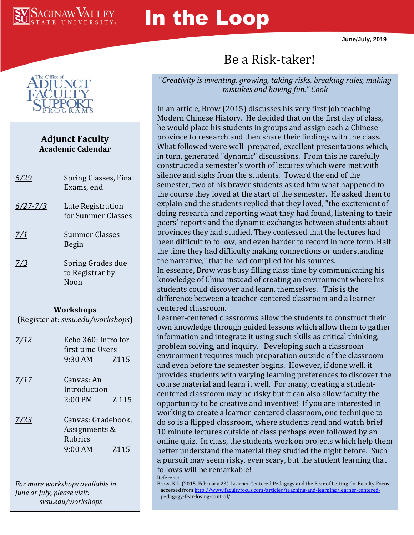

# In the Loop

**June/July, 2019**



#### **Adjunct Faculty Academic Calendar**

| <u>6/29</u>                                                    | Spring Classes, Final<br>Exams, end                               |       |
|----------------------------------------------------------------|-------------------------------------------------------------------|-------|
| $6/27 - 7/3$                                                   | Late Registration<br>for Summer Classes                           |       |
| <u>7/1</u>                                                     | <b>Summer Classes</b><br><b>Begin</b>                             |       |
| 7/3                                                            | Spring Grades due<br>to Registrar by<br>Noon                      |       |
| Workshops<br>(Register at: svsu.edu/workshops)                 |                                                                   |       |
| <u>7/12</u>                                                    | Echo 360: Intro for<br>first time Users<br>9:30 AM                | Z115  |
| <u>7/17</u>                                                    | Canvas: An<br>Introduction<br>2:00 PM                             | Z 115 |
| <u>7/23</u>                                                    | Canvas: Gradebook,<br>Assignments &<br>Rubrics<br>Z115<br>9:00 AM |       |
| For more workshops available in<br>June or July, please visit: |                                                                   |       |

*svsu.edu/workshops*

## Be a Risk-taker!

"*Creativity is inventing, growing, taking risks, breaking rules, making mistakes and having fun." Cook*

In an article, Brow (2015) discusses his very first job teaching Modern Chinese History. He decided that on the first day of class, he would place his students in groups and assign each a Chinese province to research and then share their findings with the class. What followed were well- prepared, excellent presentations which, in turn, generated "dynamic" discussions. From this he carefully constructed a semester's worth of lectures which were met with silence and sighs from the students. Toward the end of the semester, two of his braver students asked him what happened to the course they loved at the start of the semester. He asked them to explain and the students replied that they loved, "the excitement of doing research and reporting what they had found, listening to their peers' reports and the dynamic exchanges between students about provinces they had studied. They confessed that the lectures had been difficult to follow, and even harder to record in note form. Half the time they had difficulty making connections or understanding the narrative," that he had compiled for his sources. In essence, Brow was busy filling class time by communicating his

knowledge of China instead of creating an environment where his students could discover and learn, themselves. This is the difference between a teacher-centered classroom and a learnercentered classroom.

Learner-centered classrooms allow the students to construct their own knowledge through guided lessons which allow them to gather information and integrate it using such skills as critical thinking, problem solving, and inquiry. Developing such a classroom environment requires much preparation outside of the classroom and even before the semester begins. However, if done well, it provides students with varying learning preferences to discover the course material and learn it well. For many, creating a studentcentered classroom may be risky but it can also allow faculty the opportunity to be creative and inventive! If you are interested in working to create a learner-centered classroom, one technique to do so is a flipped classroom, where students read and watch brief 10 minute lectures outside of class perhaps even followed by an online quiz. In class, the students work on projects which help them better understand the material they studied the night before. Such a pursuit may seem risky, even scary, but the student learning that follows will be remarkable! Reference:

Brow, K.L. (2015, February 23). Learner Centered Pedagogy and the Fear of Letting Go. Faculty Focus accessed fro[m http://www.facultyfocus.com/articles/teaching-and-learning/learner-centered](http://www.facultyfocus.com/articles/teaching-and-learning/learner-centered-)  pedagogy-fear-losing-control/